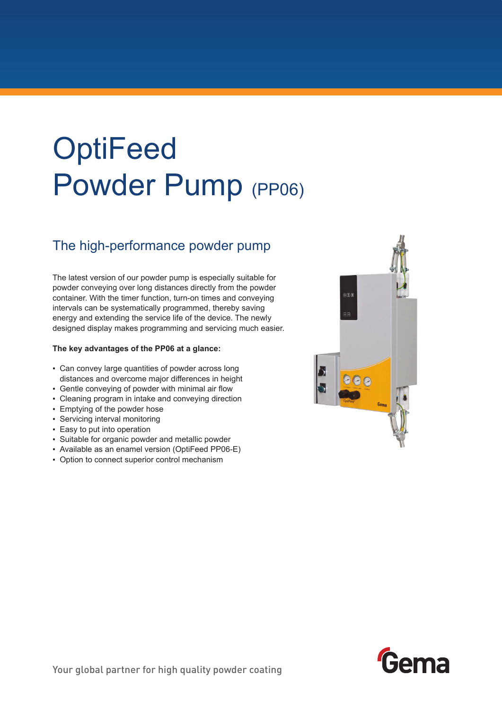# **OptiFeed** Powder Pump (PP06)

### The high-performance powder pump

The latest version of our powder pump is especially suitable for powder conveying over long distances directly from the powder container. With the timer function, turn-on times and conveying intervals can be systematically programmed, thereby saving energy and extending the service life of the device. The newly designed display makes programming and servicing much easier.

#### **The key advantages of the PP06 at a glance:**

- Can convey large quantities of powder across long distances and overcome major differences in height
- Gentle conveying of powder with minimal air flow
- Cleaning program in intake and conveying direction
- Emptying of the powder hose
- Servicing interval monitoring
- Easy to put into operation
- Suitable for organic powder and metallic powder
- Available as an enamel version (OptiFeed PP06-E)
- Option to connect superior control mechanism